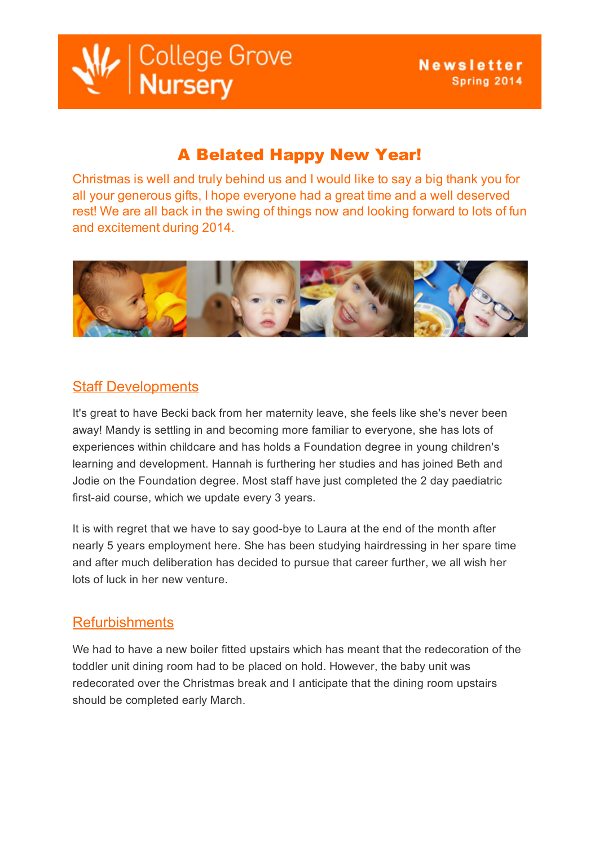| College Grove<br>| **Nursery** 

# A Belated Happy New Year!

Christmas is well and truly behind us and I would like to say a big thank you for all your generous gifts, I hope everyone had a great time and a well deserved rest! We are all back in the swing of things now and looking forward to lots of fun and excitement during 2014.



# **Staff Developments**

It's great to have Becki back from her maternity leave, she feels like she's never been away! Mandy is settling in and becoming more familiar to everyone, she has lots of experiences within childcare and has holds a Foundation degree in young children's learning and development. Hannah is furthering her studies and has joined Beth and Jodie on the Foundation degree. Most staff have just completed the 2 day paediatric first-aid course, which we update every 3 years.

It is with regret that we have to say good-bye to Laura at the end of the month after nearly 5 years employment here. She has been studying hairdressing in her spare time and after much deliberation has decided to pursue that career further, we all wish her lots of luck in her new venture.

### **Refurbishments**

We had to have a new boiler fitted upstairs which has meant that the redecoration of the toddler unit dining room had to be placed on hold. However, the baby unit was redecorated over the Christmas break and I anticipate that the dining room upstairs should be completed early March.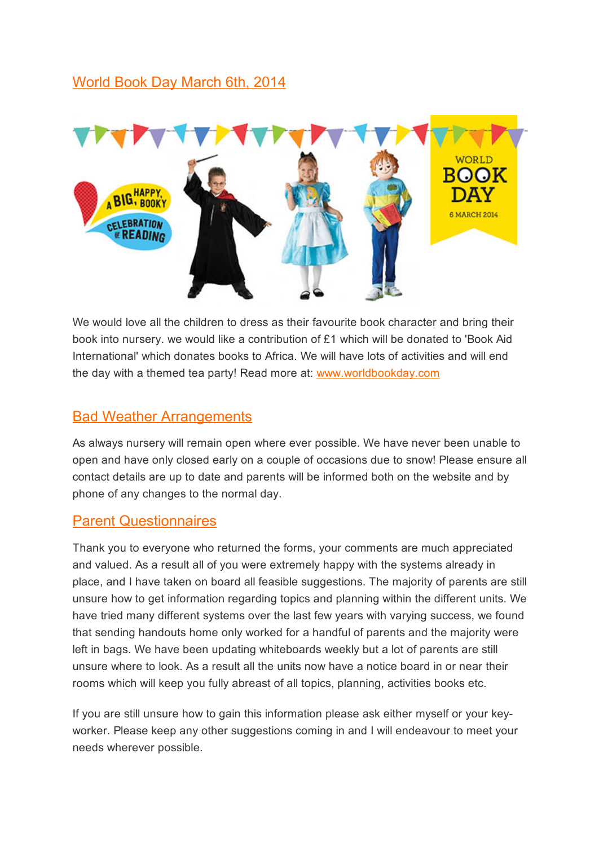## World Book Day March 6th, 2014



We would love all the children to dress as their favourite book character and bring their book into nursery. we would like a contribution of £1 which will be donated to 'Book Aid International' which donates books to Africa. We will have lots of activities and will end the day with a themed tea party! Read more at: [www.worldbookday.com](http://www.worldbookday.com/)

#### Bad Weather Arrangements

As always nursery will remain open where ever possible. We have never been unable to open and have only closed early on a couple of occasions due to snow! Please ensure all contact details are up to date and parents will be informed both on the website and by phone of any changes to the normal day.

#### Parent Questionnaires

Thank you to everyone who returned the forms, your comments are much appreciated and valued. As a result all of you were extremely happy with the systems already in place, and I have taken on board all feasible suggestions. The majority of parents are still unsure how to get information regarding topics and planning within the different units. We have tried many different systems over the last few years with varying success, we found that sending handouts home only worked for a handful of parents and the majority were left in bags. We have been updating whiteboards weekly but a lot of parents are still unsure where to look. As a result all the units now have a notice board in or near their rooms which will keep you fully abreast of all topics, planning, activities books etc.

If you are still unsure how to gain this information please ask either myself or your keyworker. Please keep any other suggestions coming in and I will endeavour to meet your needs wherever possible.